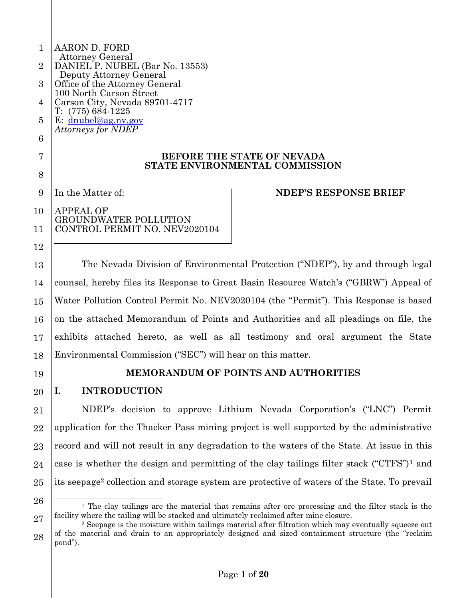| 1              | AARON D. FORD                                                                                            |  |  |  |  |  |
|----------------|----------------------------------------------------------------------------------------------------------|--|--|--|--|--|
| $\overline{2}$ | <b>Attorney General</b><br>DANIEL P. NUBEL (Bar No. 13553)                                               |  |  |  |  |  |
| 3              | Deputy Attorney General<br>Office of the Attorney General                                                |  |  |  |  |  |
| 4              | 100 North Carson Street<br>Carson City, Nevada 89701-4717                                                |  |  |  |  |  |
| 5              | $T: (775) 684-1225$<br>E: $dnubel@ag.nv.gov$                                                             |  |  |  |  |  |
| 6              | <b>Attorneys for NDEP</b>                                                                                |  |  |  |  |  |
| 7              | <b>BEFORE THE STATE OF NEVADA</b>                                                                        |  |  |  |  |  |
| 8              | STATE ENVIRONMENTAL COMMISSION                                                                           |  |  |  |  |  |
| 9              | In the Matter of:<br><b>NDEP'S RESPONSE BRIEF</b>                                                        |  |  |  |  |  |
| 10             | <b>APPEAL OF</b>                                                                                         |  |  |  |  |  |
| 11             | <b>GROUNDWATER POLLUTION</b><br>CONTROL PERMIT NO. NEV2020104                                            |  |  |  |  |  |
| 12             |                                                                                                          |  |  |  |  |  |
| 13             | The Nevada Division of Environmental Protection ("NDEP"), by and through legal                           |  |  |  |  |  |
| 14             | counsel, hereby files its Response to Great Basin Resource Watch's ("GBRW") Appeal of                    |  |  |  |  |  |
| 15             | Water Pollution Control Permit No. NEV2020104 (the "Permit"). This Response is based                     |  |  |  |  |  |
| 16             | on the attached Memorandum of Points and Authorities and all pleadings on file, the                      |  |  |  |  |  |
| 17             | exhibits attached hereto, as well as all testimony and oral argument the State                           |  |  |  |  |  |
| 18             | Environmental Commission ("SEC") will hear on this matter.                                               |  |  |  |  |  |
| 19             | <b>MEMORANDUM OF POINTS AND AUTHORITIES</b>                                                              |  |  |  |  |  |
| 20             | <b>INTRODUCTION</b><br>I.                                                                                |  |  |  |  |  |
| 21             | NDEP's decision to approve Lithium Nevada Corporation's ("LNC") Permit                                   |  |  |  |  |  |
| 22             | application for the Thacker Pass mining project is well supported by the administrative                  |  |  |  |  |  |
| 23             | record and will not result in any degradation to the waters of the State. At issue in this               |  |  |  |  |  |
| 24             | case is whether the design and permitting of the clay tailings filter stack $("CTFS")1$ and              |  |  |  |  |  |
| 25             | its seepage <sup>2</sup> collection and storage system are protective of waters of the State. To prevail |  |  |  |  |  |

<sup>26</sup> 27 <sup>1</sup> The clay tailings are the material that remains after ore processing and the filter stack is the facility where the tailing will be stacked and ultimately reclaimed after mine closure.

<sup>28</sup> <sup>2</sup> Seepage is the moisture within tailings material after filtration which may eventually squeeze out of the material and drain to an appropriately designed and sized containment structure (the "reclaim pond").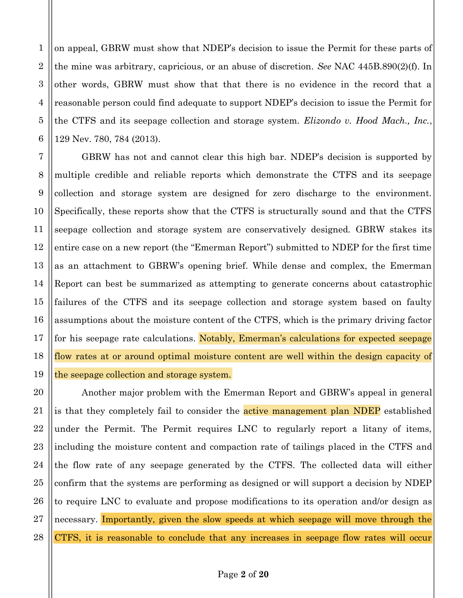on appeal, GBRW must show that NDEP's decision to issue the Permit for these parts of the mine was arbitrary, capricious, or an abuse of discretion. See NAC 445B.890(2)(f). In other words, GBRW must show that that there is no evidence in the record that a reasonable person could find adequate to support NDEP's decision to issue the Permit for the CTFS and its seepage collection and storage system. *Elizondo v. Hood Mach.*, Inc., 129 Nev. 780, 784 (2013).

GBRW has not and cannot clear this high bar. NDEP's decision is supported by multiple credible and reliable reports which demonstrate the CTFS and its seepage collection and storage system are designed for zero discharge to the environment. Specifically, these reports show that the CTFS is structurally sound and that the CTFS seepage collection and storage system are conservatively designed. GBRW stakes its entire case on a new report (the "Emerman Report") submitted to NDEP for the first time as an attachment to GBRW's opening brief. While dense and complex, the Emerman Report can best be summarized as attempting to generate concerns about catastrophic failures of the CTFS and its seepage collection and storage system based on faulty assumptions about the moisture content of the CTFS, which is the primary driving factor for his seepage rate calculations. Notably, Emerman's calculations for expected seepage flow rates at or around optimal moisture content are well within the design capacity of the seepage collection and storage system.

Another major problem with the Emerman Report and GBRW's appeal in general is that they completely fail to consider the **active management plan NDEP** established under the Permit. The Permit requires LNC to regularly report a litany of items, including the moisture content and compaction rate of tailings placed in the CTFS and the flow rate of any seepage generated by the CTFS. The collected data will either confirm that the systems are performing as designed or will support a decision by NDEP to require LNC to evaluate and propose modifications to its operation and/or design as necessary. Importantly, given the slow speeds at which seepage will move through the CTFS, it is reasonable to conclude that any increases in seepage flow rates will occur

 $\mathbf{1}$ 

 $\overline{2}$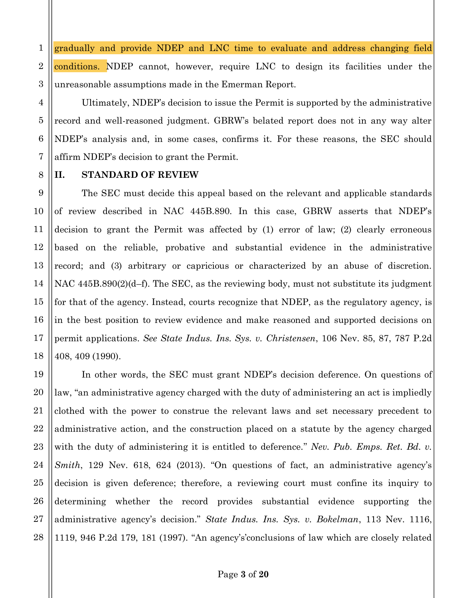$\mathbf{1}$ gradually and provide NDEP and LNC time to evaluate and address changing field  $\overline{2}$ conditions. NDEP cannot, however, require LNC to design its facilities under the 3 unreasonable assumptions made in the Emerman Report.

Ultimately, NDEP's decision to issue the Permit is supported by the administrative record and well-reasoned judgment. GBRW's belated report does not in any way alter NDEP's analysis and, in some cases, confirms it. For these reasons, the SEC should affirm NDEP's decision to grant the Permit.

### **STANDARD OF REVIEW** П.

 $\overline{4}$ 

5

6

7

8

9

10

11

12

13

14

15

16

17

18

The SEC must decide this appeal based on the relevant and applicable standards of review described in NAC 445B.890. In this case, GBRW asserts that NDEP's decision to grant the Permit was affected by (1) error of law; (2) clearly erroneous based on the reliable, probative and substantial evidence in the administrative record; and (3) arbitrary or capricious or characterized by an abuse of discretion. NAC  $445B.890(2)(d-f)$ . The SEC, as the reviewing body, must not substitute its judgment for that of the agency. Instead, courts recognize that NDEP, as the regulatory agency, is in the best position to review evidence and make reasoned and supported decisions on permit applications. See State Indus. Ins. Sys. v. Christensen, 106 Nev. 85, 87, 787 P.2d 408, 409 (1990).

19 In other words, the SEC must grant NDEP's decision deference. On questions of 20 law, "an administrative agency charged with the duty of administering an act is impliedly 21 clothed with the power to construe the relevant laws and set necessary precedent to 22 administrative action, and the construction placed on a statute by the agency charged 23 with the duty of administering it is entitled to deference." Nev. Pub. Emps. Ret. Bd. v. 24 Smith, 129 Nev. 618, 624 (2013). "On questions of fact, an administrative agency's decision is given deference; therefore, a reviewing court must confine its inquiry to 25 26 determining whether the record provides substantial evidence supporting the 27 administrative agency's decision." State Indus. Ins. Sys. v. Bokelman, 113 Nev. 1116, 28 1119, 946 P.2d 179, 181 (1997). "An agency's conclusions of law which are closely related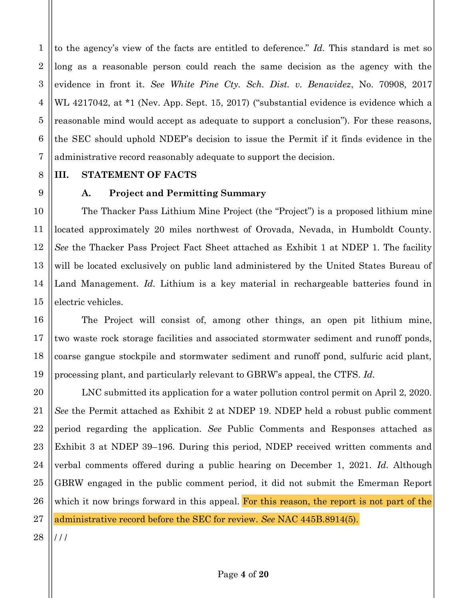to the agency's view of the facts are entitled to deference." Id. This standard is met so long as a reasonable person could reach the same decision as the agency with the evidence in front it. See White Pine Cty. Sch. Dist. v. Benavidez, No. 70908, 2017 WL 4217042, at \*1 (Nev. App. Sept. 15, 2017) ("substantial evidence is evidence which a reasonable mind would accept as adequate to support a conclusion"). For these reasons, the SEC should uphold NDEP's decision to issue the Permit if it finds evidence in the administrative record reasonably adequate to support the decision.

### STATEMENT OF FACTS III.

A.

 $\mathbf{1}$ 

 $\boldsymbol{2}$ 

3

4

5

6

7

8

9

10

11

12

13

14

15

16

17

18

19

20

21

22

23

24

25

26

27

## **Project and Permitting Summary**

The Thacker Pass Lithium Mine Project (the "Project") is a proposed lithium mine located approximately 20 miles northwest of Orovada, Nevada, in Humboldt County. See the Thacker Pass Project Fact Sheet attached as Exhibit 1 at NDEP 1. The facility will be located exclusively on public land administered by the United States Bureau of Land Management. Id. Lithium is a key material in rechargeable batteries found in electric vehicles.

The Project will consist of, among other things, an open pit lithium mine, two waste rock storage facilities and associated stormwater sediment and runoff ponds, coarse gangue stockpile and stormwater sediment and runoff pond, sulfuric acid plant, processing plant, and particularly relevant to GBRW's appeal, the CTFS. Id.

LNC submitted its application for a water pollution control permit on April 2, 2020. See the Permit attached as Exhibit 2 at NDEP 19. NDEP held a robust public comment period regarding the application. See Public Comments and Responses attached as Exhibit 3 at NDEP 39–196. During this period, NDEP received written comments and verbal comments offered during a public hearing on December 1, 2021. Id. Although GBRW engaged in the public comment period, it did not submit the Emerman Report which it now brings forward in this appeal. For this reason, the report is not part of the administrative record before the SEC for review. See NAC 445B.8914(5).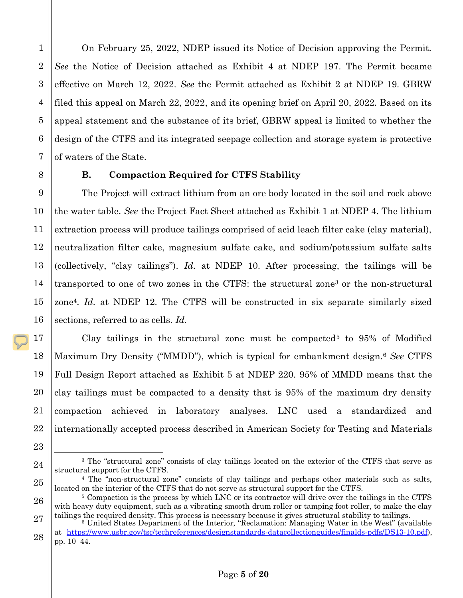On February 25, 2022, NDEP issued its Notice of Decision approving the Permit. *See* the Notice of Decision attached as Exhibit 4 at NDEP 197. The Permit became effective on March 12, 2022. *See* the Permit attached as Exhibit 2 at NDEP 19. GBRW filed this appeal on March 22, 2022, and its opening brief on April 20, 2022. Based on its appeal statement and the substance of its brief, GBRW appeal is limited to whether the design of the CTFS and its integrated seepage collection and storage system is protective of waters of the State.

### **B. Compaction Required for CTFS Stability**

The Project will extract lithium from an ore body located in the soil and rock above the water table. *See* the Project Fact Sheet attached as Exhibit 1 at NDEP 4. The lithium extraction process will produce tailings comprised of acid leach filter cake (clay material), neutralization filter cake, magnesium sulfate cake, and sodium/potassium sulfate salts (collectively, "clay tailings"). *Id.* at NDEP 10. After processing, the tailings will be transported to one of two zones in the CTFS: the structural zone3 or the non-structural zone4. *Id.* at NDEP 12. The CTFS will be constructed in six separate similarly sized sections, referred to as cells. *Id.*

Clay tailings in the structural zone must be compacted<sup>5</sup> to  $95\%$  of Modified Maximum Dry Density ("MMDD"), which is typical for embankment design.6 *See* CTFS Full Design Report attached as Exhibit 5 at NDEP 220. 95% of MMDD means that the clay tailings must be compacted to a density that is 95% of the maximum dry density compaction achieved in laboratory analyses. LNC used a standardized and internationally accepted process described in American Society for Testing and Materials

<sup>3</sup> The "structural zone" consists of clay tailings located on the exterior of the CTFS that serve as structural support for the CTFS.

<sup>4</sup> The "non-structural zone" consists of clay tailings and perhaps other materials such as salts, located on the interior of the CTFS that do not serve as structural support for the CTFS.

<sup>5</sup> Compaction is the process by which LNC or its contractor will drive over the tailings in the CTFS with heavy duty equipment, such as a vibrating smooth drum roller or tamping foot roller, to make the clay tailings the required density. This process is necessary because it gives structural stability to tailings.

<sup>6</sup> United States Department of the Interior, "Reclamation: Managing Water in the West" (available at https://www.usbr.gov/tsc/techreferences/designstandards-datacollectionguides/finalds-pdfs/DS13-10.pdf), pp. 10–44.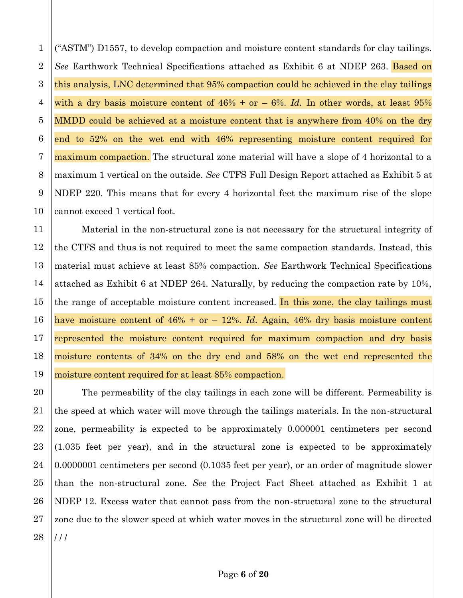("ASTM") D1557, to develop compaction and moisture content standards for clay tailings. *See* Earthwork Technical Specifications attached as Exhibit 6 at NDEP 263. Based on this analysis, LNC determined that 95% compaction could be achieved in the clay tailings with a dry basis moisture content of 46% + or – 6%. *Id.* In other words, at least 95% MMDD could be achieved at a moisture content that is anywhere from 40% on the dry end to 52% on the wet end with 46% representing moisture content required for maximum compaction. The structural zone material will have a slope of 4 horizontal to a maximum 1 vertical on the outside. *See* CTFS Full Design Report attached as Exhibit 5 at NDEP 220. This means that for every 4 horizontal feet the maximum rise of the slope cannot exceed 1 vertical foot.

Material in the non-structural zone is not necessary for the structural integrity of the CTFS and thus is not required to meet the same compaction standards. Instead, this material must achieve at least 85% compaction. *See* Earthwork Technical Specifications attached as Exhibit 6 at NDEP 264. Naturally, by reducing the compaction rate by 10%, the range of acceptable moisture content increased. In this zone, the clay tailings must have moisture content of  $46\%$  + or  $-$  12%. *Id.* Again, 46% dry basis moisture content represented the moisture content required for maximum compaction and dry basis moisture contents of 34% on the dry end and 58% on the wet end represented the moisture content required for at least 85% compaction.

The permeability of the clay tailings in each zone will be different. Permeability is the speed at which water will move through the tailings materials. In the non-structural zone, permeability is expected to be approximately 0.000001 centimeters per second (1.035 feet per year), and in the structural zone is expected to be approximately 0.0000001 centimeters per second (0.1035 feet per year), or an order of magnitude slower than the non-structural zone. *See* the Project Fact Sheet attached as Exhibit 1 at NDEP 12. Excess water that cannot pass from the non-structural zone to the structural zone due to the slower speed at which water moves in the structural zone will be directed  $111$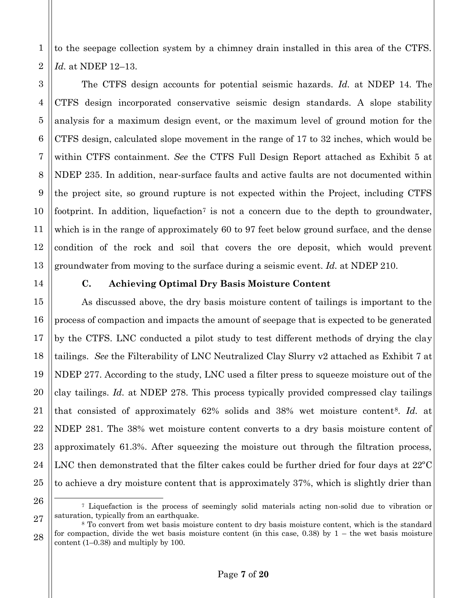to the seepage collection system by a chimney drain installed in this area of the CTFS. *Id.* at NDEP 12–13.

The CTFS design accounts for potential seismic hazards. *Id.* at NDEP 14. The CTFS design incorporated conservative seismic design standards. A slope stability analysis for a maximum design event, or the maximum level of ground motion for the CTFS design, calculated slope movement in the range of 17 to 32 inches, which would be within CTFS containment. *See* the CTFS Full Design Report attached as Exhibit 5 at NDEP 235. In addition, near-surface faults and active faults are not documented within the project site, so ground rupture is not expected within the Project, including CTFS footprint. In addition, liquefaction<sup>7</sup> is not a concern due to the depth to groundwater, which is in the range of approximately 60 to 97 feet below ground surface, and the dense condition of the rock and soil that covers the ore deposit, which would prevent groundwater from moving to the surface during a seismic event. *Id.* at NDEP 210.

1

2

3

4

5

6

7

8

9

10

11

12

13

14

15

16

17

18

19

20

21

22

23

24

25

26

### **C. Achieving Optimal Dry Basis Moisture Content**

As discussed above, the dry basis moisture content of tailings is important to the process of compaction and impacts the amount of seepage that is expected to be generated by the CTFS. LNC conducted a pilot study to test different methods of drying the clay tailings. *See* the Filterability of LNC Neutralized Clay Slurry v2 attached as Exhibit 7 at NDEP 277. According to the study, LNC used a filter press to squeeze moisture out of the clay tailings. *Id.* at NDEP 278. This process typically provided compressed clay tailings that consisted of approximately 62% solids and 38% wet moisture content8. *Id.* at NDEP 281. The 38% wet moisture content converts to a dry basis moisture content of approximately 61.3%. After squeezing the moisture out through the filtration process, LNC then demonstrated that the filter cakes could be further dried for four days at 22ºC to achieve a dry moisture content that is approximately 37%, which is slightly drier than

<sup>7</sup> Liquefaction is the process of seemingly solid materials acting non-solid due to vibration or saturation, typically from an earthquake.

<sup>27</sup> 28 <sup>8</sup> To convert from wet basis moisture content to dry basis moisture content, which is the standard for compaction, divide the wet basis moisture content (in this case, 0.38) by  $1 -$  the wet basis moisture content (1–0.38) and multiply by 100.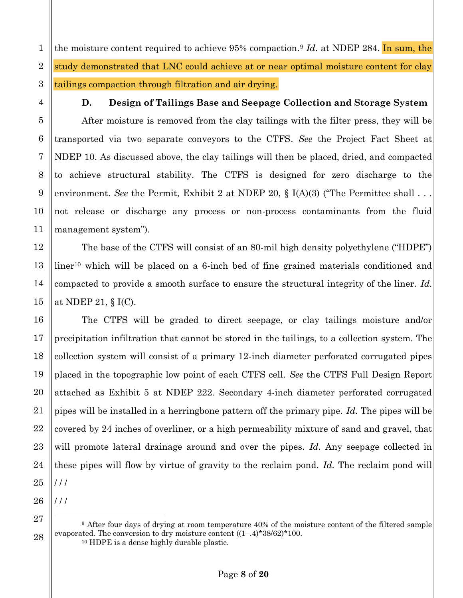$\mathbf{1}$ the moisture content required to achieve 95% compaction.<sup>9</sup> Id. at NDEP 284. In sum, the  $\overline{2}$ study demonstrated that LNC could achieve at or near optimal moisture content for clay 3 tailings compaction through filtration and air drying.

D.

### Design of Tailings Base and Seepage Collection and Storage System

After moisture is removed from the clay tailings with the filter press, they will be transported via two separate conveyors to the CTFS. See the Project Fact Sheet at NDEP 10. As discussed above, the clay tailings will then be placed, dried, and compacted to achieve structural stability. The CTFS is designed for zero discharge to the environment. See the Permit, Exhibit 2 at NDEP 20,  $\S$  I(A)(3) ("The Permittee shall ... not release or discharge any process or non-process contaminants from the fluid management system").

The base of the CTFS will consist of an 80-mil high density polyethylene ("HDPE") liner<sup>10</sup> which will be placed on a 6-inch bed of fine grained materials conditioned and compacted to provide a smooth surface to ensure the structural integrity of the liner. Id. at NDEP 21,  $\S$  I(C).

The CTFS will be graded to direct seepage, or clay tailings moisture and/or precipitation infiltration that cannot be stored in the tailings, to a collection system. The collection system will consist of a primary 12-inch diameter perforated corrugated pipes placed in the topographic low point of each CTFS cell. See the CTFS Full Design Report attached as Exhibit 5 at NDEP 222. Secondary 4-inch diameter perforated corrugated pipes will be installed in a herringbone pattern off the primary pipe. Id. The pipes will be covered by 24 inches of overliner, or a high permeability mixture of sand and gravel, that will promote lateral drainage around and over the pipes. Id. Any seepage collected in these pipes will flow by virtue of gravity to the reclaim pond. Id. The reclaim pond will  $111$ 

<sup>&</sup>lt;sup>9</sup> After four days of drying at room temperature 40% of the moisture content of the filtered sample evaporated. The conversion to dry moisture content  $((1-.4)^*38/62)^*100$ .  $10$  HDPE is a dense highly durable plastic.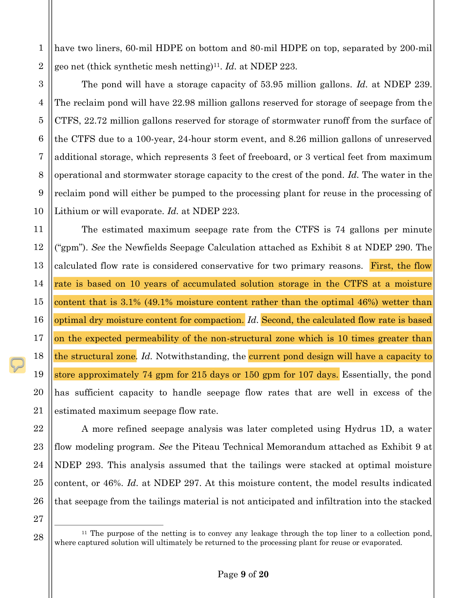have two liners, 60-mil HDPE on bottom and 80-mil HDPE on top, separated by 200-mil geo net (thick synthetic mesh netting)<sup>11</sup>. Id. at NDEP 223.

The pond will have a storage capacity of 53.95 million gallons. Id. at NDEP 239. The reclaim pond will have 22.98 million gallons reserved for storage of seepage from the CTFS, 22.72 million gallons reserved for storage of stormwater runoff from the surface of the CTFS due to a 100-year, 24-hour storm event, and 8.26 million gallons of unreserved additional storage, which represents 3 feet of freeboard, or 3 vertical feet from maximum operational and stormwater storage capacity to the crest of the pond. Id. The water in the reclaim pond will either be pumped to the processing plant for reuse in the processing of Lithium or will evaporate. Id. at NDEP 223.

The estimated maximum seepage rate from the CTFS is 74 gallons per minute ("gpm"). See the Newfields Seepage Calculation attached as Exhibit 8 at NDEP 290. The calculated flow rate is considered conservative for two primary reasons. First, the flow rate is based on 10 years of accumulated solution storage in the CTFS at a moisture content that is 3.1% (49.1% moisture content rather than the optimal 46%) wetter than optimal dry moisture content for compaction. Id. Second, the calculated flow rate is based on the expected permeability of the non-structural zone which is 10 times greater than the structural zone. Id. Notwithstanding, the current pond design will have a capacity to store approximately 74 gpm for 215 days or 150 gpm for 107 days. Essentially, the pond has sufficient capacity to handle seepage flow rates that are well in excess of the estimated maximum seepage flow rate.

A more refined seepage analysis was later completed using Hydrus 1D, a water flow modeling program. See the Piteau Technical Memorandum attached as Exhibit 9 at NDEP 293. This analysis assumed that the tailings were stacked at optimal moisture content, or 46%. Id. at NDEP 297. At this moisture content, the model results indicated that seepage from the tailings material is not anticipated and infiltration into the stacked

27

28

 $\mathbf{1}$ 

 $\overline{2}$ 

3

4

 $\overline{5}$ 

6

7

8

9

10

11

12

13

14

15

16

17

18

19

20

21

22

23

24

25

 $11$  The purpose of the netting is to convey any leakage through the top liner to a collection pond, where captured solution will ultimately be returned to the processing plant for reuse or evaporated.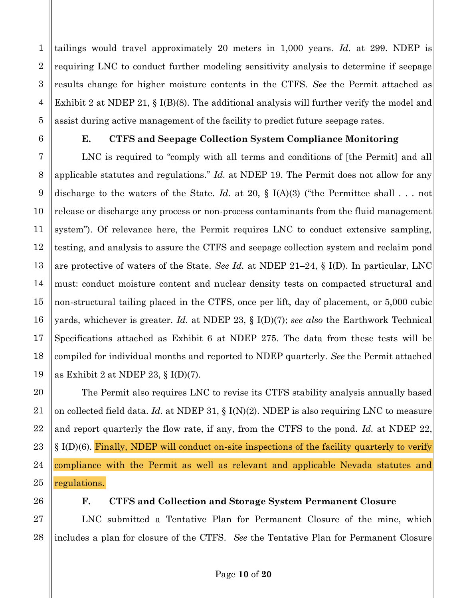tailings would travel approximately 20 meters in  $1,000$  years. Id. at 299. NDEP is requiring LNC to conduct further modeling sensitivity analysis to determine if seepage results change for higher moisture contents in the CTFS. See the Permit attached as Exhibit 2 at NDEP 21,  $\S$  I(B)(8). The additional analysis will further verify the model and assist during active management of the facility to predict future seepage rates.

Е.

 $\mathbf{1}$ 

### **CTFS and Seepage Collection System Compliance Monitoring**

LNC is required to "comply with all terms and conditions of [the Permit] and all applicable statutes and regulations." Id. at NDEP 19. The Permit does not allow for any discharge to the waters of the State. *Id.* at 20, § I(A)(3) ("the Permittee shall . . . not release or discharge any process or non-process contaminants from the fluid management system"). Of relevance here, the Permit requires LNC to conduct extensive sampling, testing, and analysis to assure the CTFS and seepage collection system and reclaim pond are protective of waters of the State. See Id. at NDEP 21–24,  $\S$  I(D). In particular, LNC must: conduct moisture content and nuclear density tests on compacted structural and non-structural tailing placed in the CTFS, once per lift, day of placement, or 5,000 cubic yards, whichever is greater. Id. at NDEP 23,  $\S$  I(D)(7); see also the Earthwork Technical Specifications attached as Exhibit 6 at NDEP 275. The data from these tests will be compiled for individual months and reported to NDEP quarterly. See the Permit attached as Exhibit 2 at NDEP 23,  $\S$  I(D)(7).

The Permit also requires LNC to revise its CTFS stability analysis annually based on collected field data. Id. at NDEP 31,  $\S$  I(N)(2). NDEP is also requiring LNC to measure and report quarterly the flow rate, if any, from the CTFS to the pond. Id. at NDEP 22,  $\S$  I(D)(6). Finally, NDEP will conduct on-site inspections of the facility quarterly to verify compliance with the Permit as well as relevant and applicable Nevada statutes and regulations.

F. **CTFS and Collection and Storage System Permanent Closure** 

LNC submitted a Tentative Plan for Permanent Closure of the mine, which includes a plan for closure of the CTFS. See the Tentative Plan for Permanent Closure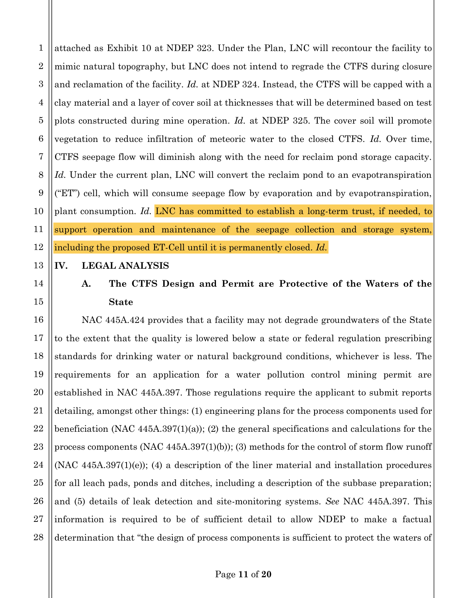attached as Exhibit 10 at NDEP 323. Under the Plan, LNC will recontour the facility to mimic natural topography, but LNC does not intend to regrade the CTFS during closure and reclamation of the facility. Id. at NDEP 324. Instead, the CTFS will be capped with a clay material and a layer of cover soil at thicknesses that will be determined based on test plots constructed during mine operation. Id. at NDEP 325. The cover soil will promote vegetation to reduce infiltration of meteoric water to the closed CTFS. Id. Over time, CTFS seepage flow will diminish along with the need for reclaim pond storage capacity. Id. Under the current plan, LNC will convert the reclaim pond to an evapotranspiration ("ET") cell, which will consume seepage flow by evaporation and by evapotranspiration, plant consumption. Id. LNC has committed to establish a long-term trust, if needed, to support operation and maintenance of the seepage collection and storage system, including the proposed ET-Cell until it is permanently closed. Id.

### IV. **LEGAL ANALYSIS**

### A. The CTFS Design and Permit are Protective of the Waters of the **State**

NAC 445A.424 provides that a facility may not degrade groundwaters of the State to the extent that the quality is lowered below a state or federal regulation prescribing standards for drinking water or natural background conditions, whichever is less. The requirements for an application for a water pollution control mining permit are established in NAC 445A.397. Those regulations require the applicant to submit reports detailing, amongst other things: (1) engineering plans for the process components used for beneficiation (NAC  $445A.397(1)(a)$ ); (2) the general specifications and calculations for the process components (NAC  $445A.397(1)(b)$ ); (3) methods for the control of storm flow runoff  $(NAC 445A.397(1)(e))$ ; (4) a description of the liner material and installation procedures for all leach pads, ponds and ditches, including a description of the subbase preparation; and (5) details of leak detection and site-monitoring systems. See NAC 445A.397. This information is required to be of sufficient detail to allow NDEP to make a factual determination that "the design of process components is sufficient to protect the waters of

 $\mathbf{1}$ 

 $\overline{2}$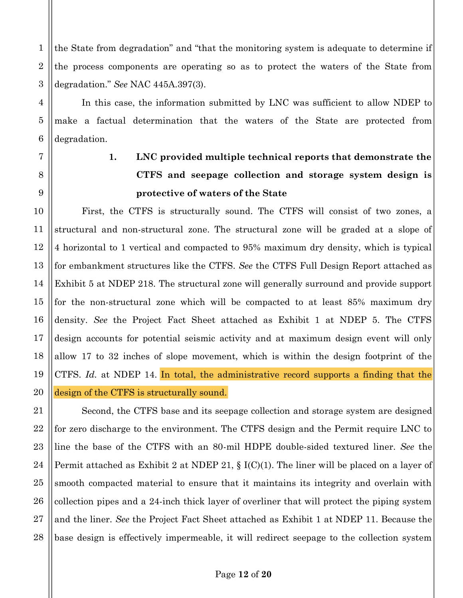the State from degradation" and "that the monitoring system is adequate to determine if the process components are operating so as to protect the waters of the State from degradation." See NAC 445A.397(3).

In this case, the information submitted by LNC was sufficient to allow NDEP to make a factual determination that the waters of the State are protected from degradation.

# 1. LNC provided multiple technical reports that demonstrate the CTFS and seepage collection and storage system design is protective of waters of the State

First, the CTFS is structurally sound. The CTFS will consist of two zones, a structural and non-structural zone. The structural zone will be graded at a slope of 4 horizontal to 1 vertical and compacted to 95% maximum dry density, which is typical for embankment structures like the CTFS. See the CTFS Full Design Report attached as Exhibit 5 at NDEP 218. The structural zone will generally surround and provide support for the non-structural zone which will be compacted to at least 85% maximum dry density. See the Project Fact Sheet attached as Exhibit 1 at NDEP 5. The CTFS design accounts for potential seismic activity and at maximum design event will only allow 17 to 32 inches of slope movement, which is within the design footprint of the CTFS. Id. at NDEP 14. In total, the administrative record supports a finding that the design of the CTFS is structurally sound.

Second, the CTFS base and its seepage collection and storage system are designed for zero discharge to the environment. The CTFS design and the Permit require LNC to line the base of the CTFS with an 80-mil HDPE double-sided textured liner. See the Permit attached as Exhibit 2 at NDEP 21,  $\S$  I(C)(1). The liner will be placed on a layer of smooth compacted material to ensure that it maintains its integrity and overlain with collection pipes and a 24-inch thick layer of overliner that will protect the piping system and the liner. See the Project Fact Sheet attached as Exhibit 1 at NDEP 11. Because the base design is effectively impermeable, it will redirect seepage to the collection system

 $\mathbf{1}$ 

 $\overline{2}$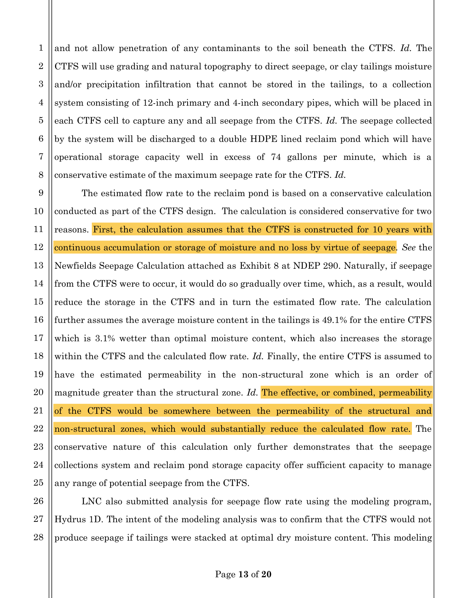and not allow penetration of any contaminants to the soil beneath the CTFS. Id. The CTFS will use grading and natural topography to direct seepage, or clay tailings moisture 3 and/or precipitation infiltration that cannot be stored in the tailings, to a collection system consisting of 12-inch primary and 4-inch secondary pipes, which will be placed in 5 each CTFS cell to capture any and all seepage from the CTFS. Id. The seepage collected 6 by the system will be discharged to a double HDPE lined reclaim pond which will have operational storage capacity well in excess of 74 gallons per minute, which is a conservative estimate of the maximum seepage rate for the CTFS. Id.

 $\mathbf{1}$ 

 $\overline{2}$ 

4

7

8

26

27

28

9 The estimated flow rate to the reclaim pond is based on a conservative calculation 10 conducted as part of the CTFS design. The calculation is considered conservative for two 11 reasons. First, the calculation assumes that the CTFS is constructed for 10 years with 12 continuous accumulation or storage of moisture and no loss by virtue of seepage. See the 13 Newfields Seepage Calculation attached as Exhibit 8 at NDEP 290. Naturally, if seepage 14 from the CTFS were to occur, it would do so gradually over time, which, as a result, would 15 reduce the storage in the CTFS and in turn the estimated flow rate. The calculation 16 further assumes the average moisture content in the tailings is 49.1% for the entire CTFS 17 which is 3.1% wetter than optimal moisture content, which also increases the storage 18 within the CTFS and the calculated flow rate. Id. Finally, the entire CTFS is assumed to 19 have the estimated permeability in the non-structural zone which is an order of 20 magnitude greater than the structural zone. Id. The effective, or combined, permeability 21 of the CTFS would be somewhere between the permeability of the structural and 22 non-structural zones, which would substantially reduce the calculated flow rate. The 23 conservative nature of this calculation only further demonstrates that the seepage 24 collections system and reclaim pond storage capacity offer sufficient capacity to manage 25 any range of potential seepage from the CTFS.

LNC also submitted analysis for seepage flow rate using the modeling program, Hydrus 1D. The intent of the modeling analysis was to confirm that the CTFS would not produce seepage if tailings were stacked at optimal dry moisture content. This modeling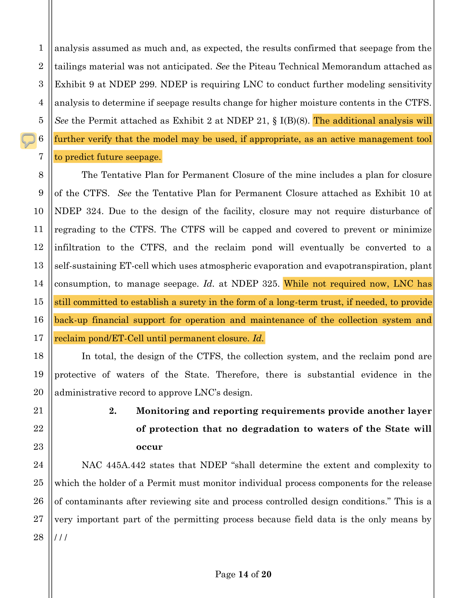$\mathbf{1}$ analysis assumed as much and, as expected, the results confirmed that seepage from the tailings material was not anticipated. See the Piteau Technical Memorandum attached as Exhibit 9 at NDEP 299. NDEP is requiring LNC to conduct further modeling sensitivity analysis to determine if seepage results change for higher moisture contents in the CTFS. See the Permit attached as Exhibit 2 at NDEP 21, § I(B)(8). The additional analysis will further verify that the model may be used, if appropriate, as an active management tool to predict future seepage.

The Tentative Plan for Permanent Closure of the mine includes a plan for closure of the CTFS. See the Tentative Plan for Permanent Closure attached as Exhibit 10 at NDEP 324. Due to the design of the facility, closure may not require disturbance of regrading to the CTFS. The CTFS will be capped and covered to prevent or minimize infiltration to the CTFS, and the reclaim pond will eventually be converted to a self-sustaining ET-cell which uses atmospheric evaporation and evapotranspiration, plant consumption, to manage seepage. Id. at NDEP 325. While not required now, LNC has still committed to establish a surety in the form of a long-term trust, if needed, to provide back-up financial support for operation and maintenance of the collection system and reclaim pond/ET-Cell until permanent closure. Id.

In total, the design of the CTFS, the collection system, and the reclaim pond are protective of waters of the State. Therefore, there is substantial evidence in the administrative record to approve LNC's design.

## $2.$ Monitoring and reporting requirements provide another layer of protection that no degradation to waters of the State will occur

NAC 445A.442 states that NDEP "shall determine the extent and complexity to which the holder of a Permit must monitor individual process components for the release of contaminants after reviewing site and process controlled design conditions." This is a very important part of the permitting process because field data is the only means by  $111$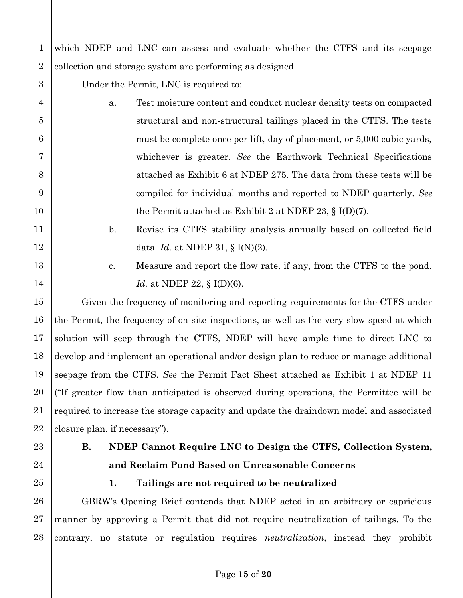which NDEP and LNC can assess and evaluate whether the CTFS and its seepage collection and storage system are performing as designed.

Under the Permit, LNC is required to:

- a. Test moisture content and conduct nuclear density tests on compacted structural and non-structural tailings placed in the CTFS. The tests must be complete once per lift, day of placement, or 5,000 cubic yards, whichever is greater. *See* the Earthwork Technical Specifications attached as Exhibit 6 at NDEP 275. The data from these tests will be compiled for individual months and reported to NDEP quarterly. *See*  the Permit attached as Exhibit 2 at NDEP 23, § I(D)(7).
	- b. Revise its CTFS stability analysis annually based on collected field data. *Id.* at NDEP 31, § I(N)(2).
		- c. Measure and report the flow rate, if any, from the CTFS to the pond. *Id.* at NDEP 22, § I(D)(6).

Given the frequency of monitoring and reporting requirements for the CTFS under the Permit, the frequency of on-site inspections, as well as the very slow speed at which solution will seep through the CTFS, NDEP will have ample time to direct LNC to develop and implement an operational and/or design plan to reduce or manage additional seepage from the CTFS. *See* the Permit Fact Sheet attached as Exhibit 1 at NDEP 11 ("If greater flow than anticipated is observed during operations, the Permittee will be required to increase the storage capacity and update the draindown model and associated closure plan, if necessary").

1

2

3

4

5

6

7

8

9

10

11

12

13

14

15

16

17

18

19

20

21

22

23

24

25

26

27

28

# **B. NDEP Cannot Require LNC to Design the CTFS, Collection System, and Reclaim Pond Based on Unreasonable Concerns**

# **1. Tailings are not required to be neutralized**

GBRW's Opening Brief contends that NDEP acted in an arbitrary or capricious manner by approving a Permit that did not require neutralization of tailings. To the contrary, no statute or regulation requires *neutralization*, instead they prohibit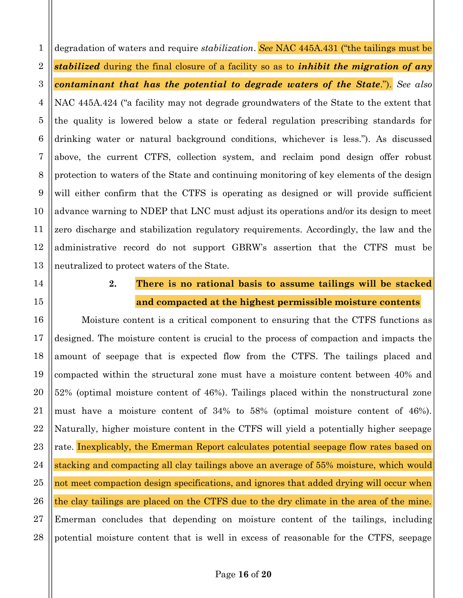degradation of waters and require *stabilization*. See NAC 445A.431 ("the tailings must be stabilized during the final closure of a facility so as to *inhibit the migration of any* contaminant that has the potential to degrade waters of the State."). See also 3 NAC 445A.424 ("a facility may not degrade groundwaters of the State to the extent that the quality is lowered below a state or federal regulation prescribing standards for 6 drinking water or natural background conditions, whichever is less."). As discussed above, the current CTFS, collection system, and reclaim pond design offer robust protection to waters of the State and continuing monitoring of key elements of the design will either confirm that the CTFS is operating as designed or will provide sufficient advance warning to NDEP that LNC must adjust its operations and/or its design to meet zero discharge and stabilization regulatory requirements. Accordingly, the law and the administrative record do not support GBRW's assertion that the CTFS must be 13 neutralized to protect waters of the State.

 $\mathbf{1}$ 

 $\overline{2}$ 

4

5

7

8

9

10

11

12

14

15

16

17

18

19

20

21

22

23

24

25

26

27

28

### 2. There is no rational basis to assume tailings will be stacked and compacted at the highest permissible moisture contents

Moisture content is a critical component to ensuring that the CTFS functions as designed. The moisture content is crucial to the process of compaction and impacts the amount of seepage that is expected flow from the CTFS. The tailings placed and compacted within the structural zone must have a moisture content between 40% and 52% (optimal moisture content of 46%). Tailings placed within the nonstructural zone must have a moisture content of 34% to 58% (optimal moisture content of 46%). Naturally, higher moisture content in the CTFS will yield a potentially higher seepage rate. Inexplicably, the Emerman Report calculates potential seepage flow rates based on stacking and compacting all clay tailings above an average of 55% moisture, which would not meet compaction design specifications, and ignores that added drying will occur when the clay tailings are placed on the CTFS due to the dry climate in the area of the mine. Emerman concludes that depending on moisture content of the tailings, including potential moisture content that is well in excess of reasonable for the CTFS, seepage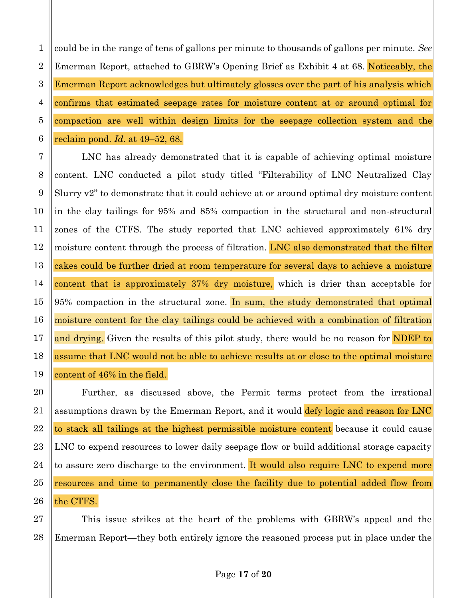$\mathbf{1}$ could be in the range of tens of gallons per minute to thousands of gallons per minute. See  $\overline{2}$ Emerman Report, attached to GBRW's Opening Brief as Exhibit 4 at 68. Noticeably, the 3 Emerman Report acknowledges but ultimately glosses over the part of his analysis which confirms that estimated seepage rates for moisture content at or around optimal for compaction are well within design limits for the seepage collection system and the reclaim pond. Id. at 49–52, 68.

LNC has already demonstrated that it is capable of achieving optimal moisture content. LNC conducted a pilot study titled "Filterability of LNC Neutralized Clay Slurry v2" to demonstrate that it could achieve at or around optimal dry moisture content in the clay tailings for 95% and 85% compaction in the structural and non-structural zones of the CTFS. The study reported that LNC achieved approximately 61% dry moisture content through the process of filtration. LNC also demonstrated that the filter cakes could be further dried at room temperature for several days to achieve a moisture content that is approximately 37% dry moisture, which is drier than acceptable for 95% compaction in the structural zone. In sum, the study demonstrated that optimal moisture content for the clay tailings could be achieved with a combination of filtration and drying. Given the results of this pilot study, there would be no reason for NDEP to assume that LNC would not be able to achieve results at or close to the optimal moisture content of 46% in the field.

Further, as discussed above, the Permit terms protect from the irrational assumptions drawn by the Emerman Report, and it would defy logic and reason for LNC to stack all tailings at the highest permissible moisture content because it could cause LNC to expend resources to lower daily seepage flow or build additional storage capacity to assure zero discharge to the environment. It would also require LNC to expend more resources and time to permanently close the facility due to potential added flow from the CTFS.

This issue strikes at the heart of the problems with GBRW's appeal and the Emerman Report—they both entirely ignore the reasoned process put in place under the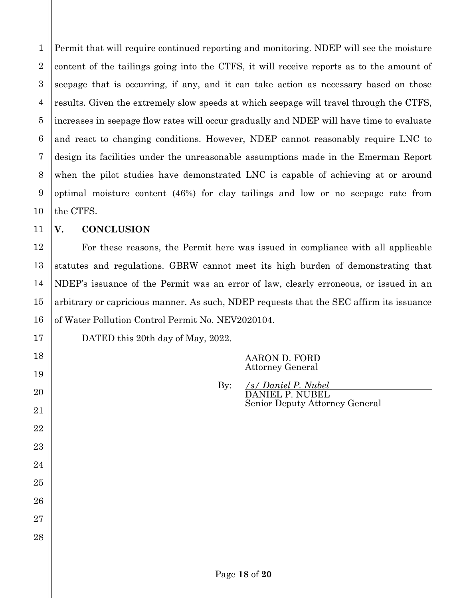3 Permit that will require continued reporting and monitoring. NDEP will see the moisture content of the tailings going into the CTFS, it will receive reports as to the amount of seepage that is occurring, if any, and it can take action as necessary based on those results. Given the extremely slow speeds at which seepage will travel through the CTFS, increases in seepage flow rates will occur gradually and NDEP will have time to evaluate and react to changing conditions. However, NDEP cannot reasonably require LNC to design its facilities under the unreasonable assumptions made in the Emerman Report when the pilot studies have demonstrated LNC is capable of achieving at or around optimal moisture content (46%) for clay tailings and low or no seepage rate from the CTFS.

### **V. CONCLUSION**

For these reasons, the Permit here was issued in compliance with all applicable statutes and regulations. GBRW cannot meet its high burden of demonstrating that NDEP's issuance of the Permit was an error of law, clearly erroneous, or issued in an arbitrary or capricious manner. As such, NDEP requests that the SEC affirm its issuance of Water Pollution Control Permit No. NEV2020104.

DATED this 20th day of May, 2022.

AARON D. FORD Attorney General

By: */s/ Daniel P. Nubel* DANIEL P. NUBEL Senior Deputy Attorney General

1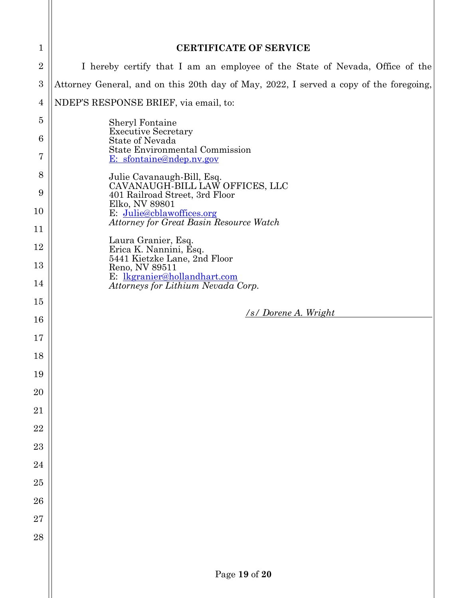| 1                                                 | <b>CERTIFICATE OF SERVICE</b>                                                          |  |  |  |  |
|---------------------------------------------------|----------------------------------------------------------------------------------------|--|--|--|--|
| $\overline{2}$                                    | I hereby certify that I am an employee of the State of Nevada, Office of the           |  |  |  |  |
| $\boldsymbol{3}$                                  | Attorney General, and on this 20th day of May, 2022, I served a copy of the foregoing, |  |  |  |  |
| $\overline{4}$                                    | NDEP'S RESPONSE BRIEF, via email, to:                                                  |  |  |  |  |
| 5                                                 | Sheryl Fontaine<br><b>Executive Secretary</b>                                          |  |  |  |  |
| 6<br>7                                            | <b>State of Nevada</b><br>State Environmental Commission<br>E: sfontaine@ndep.nv.gov   |  |  |  |  |
| 8                                                 | Julie Cavanaugh-Bill, Esq.                                                             |  |  |  |  |
| 9                                                 | CAVANAUGH-BILL LAW OFFICES, LLC<br>401 Railroad Street, 3rd Floor                      |  |  |  |  |
| Elko, NV 89801<br>10<br>E: Julie@cblawoffices.org | <b>Attorney for Great Basin Resource Watch</b>                                         |  |  |  |  |
| 11                                                | Laura Granier, Esq.                                                                    |  |  |  |  |
| 12                                                | Erica K. Nannini, Esq.<br>5441 Kietzke Lane, 2nd Floor                                 |  |  |  |  |
| 13                                                | Reno, NV 89511<br>E: lkgranier@hollandhart.com                                         |  |  |  |  |
| 14                                                | Attorneys for Lithium Nevada Corp.                                                     |  |  |  |  |
| 15                                                | /s/ Dorene A. Wright                                                                   |  |  |  |  |
| 16                                                |                                                                                        |  |  |  |  |
| 17                                                |                                                                                        |  |  |  |  |
| 18                                                |                                                                                        |  |  |  |  |
| 19                                                |                                                                                        |  |  |  |  |
| 20                                                |                                                                                        |  |  |  |  |
| 21                                                |                                                                                        |  |  |  |  |
| 22                                                |                                                                                        |  |  |  |  |
| 23                                                |                                                                                        |  |  |  |  |
| 24                                                |                                                                                        |  |  |  |  |
| 25                                                |                                                                                        |  |  |  |  |
| 26                                                |                                                                                        |  |  |  |  |
| 27                                                |                                                                                        |  |  |  |  |
| 28                                                |                                                                                        |  |  |  |  |
|                                                   |                                                                                        |  |  |  |  |
|                                                   | Page 19 of 20                                                                          |  |  |  |  |